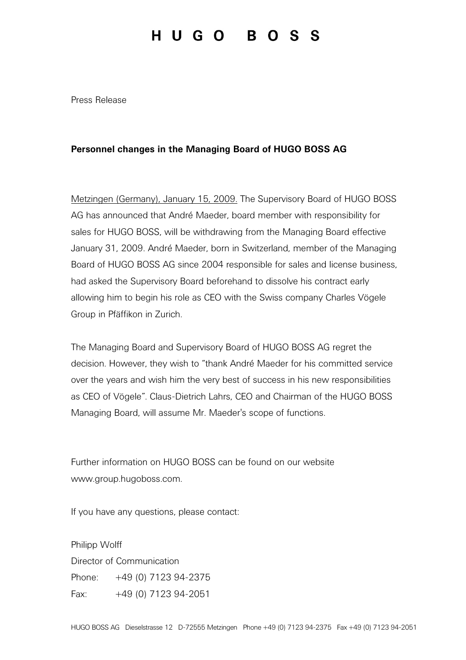## HUGO BOSS

Press Release

## Personnel changes in the Managing Board of HUGO BOSS AG

Metzingen (Germany), January 15, 2009. The Supervisory Board of HUGO BOSS AG has announced that André Maeder, board member with responsibility for sales for HUGO BOSS, will be withdrawing from the Managing Board effective January 31, 2009. André Maeder, born in Switzerland, member of the Managing Board of HUGO BOSS AG since 2004 responsible for sales and license business, had asked the Supervisory Board beforehand to dissolve his contract early allowing him to begin his role as CEO with the Swiss company Charles Vögele Group in Pfäffikon in Zurich.

The Managing Board and Supervisory Board of HUGO BOSS AG regret the decision. However, they wish to "thank André Maeder for his committed service over the years and wish him the very best of success in his new responsibilities as CEO of Vögele". Claus-Dietrich Lahrs, CEO and Chairman of the HUGO BOSS Managing Board, will assume Mr. Maeder's scope of functions.

Further information on HUGO BOSS can be found on our website www.group.hugoboss.com.

If you have any questions, please contact:

Philipp Wolff Director of Communication Phone: +49 (0) 7123 94-2375 Fax: +49 (0) 7123 94-2051